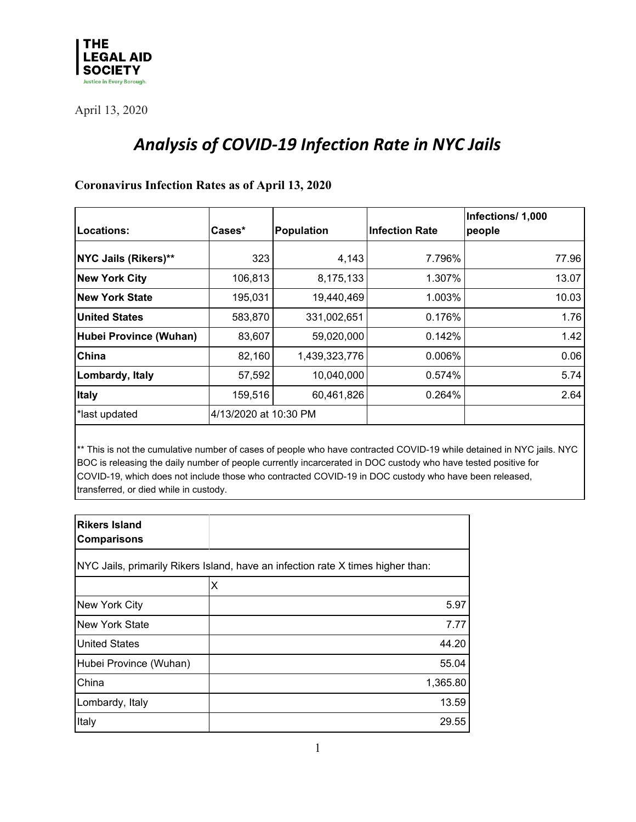

# *Analysis of COVID-19 Infection Rate in NYC Jails*

#### **Coronavirus Infection Rates as of April 13, 2020**

| Locations:             | Cases*                | Population    | <b>Infection Rate</b> | Infections/ 1,000<br>people |
|------------------------|-----------------------|---------------|-----------------------|-----------------------------|
|                        |                       |               |                       |                             |
| NYC Jails (Rikers)**   | 323                   | 4,143         | 7.796%                | 77.96                       |
| <b>New York City</b>   | 106,813               | 8,175,133     | 1.307%                | 13.07                       |
| <b>New York State</b>  | 195,031               | 19,440,469    | 1.003%                | 10.03                       |
| <b>United States</b>   | 583,870               | 331,002,651   | 0.176%                | 1.76                        |
| Hubei Province (Wuhan) | 83,607                | 59,020,000    | 0.142%                | 1.42                        |
| China                  | 82,160                | 1,439,323,776 | $0.006\%$             | 0.06                        |
| Lombardy, Italy        | 57,592                | 10,040,000    | 0.574%                | 5.74                        |
| <b>Italy</b>           | 159,516               | 60,461,826    | 0.264%                | 2.64                        |
| *last updated          | 4/13/2020 at 10:30 PM |               |                       |                             |

\*\* This is not the cumulative number of cases of people who have contracted COVID-19 while detained in NYC jails. NYC BOC is releasing the daily number of people currently incarcerated in DOC custody who have tested positive for COVID-19, which does not include those who contracted COVID-19 in DOC custody who have been released, transferred, or died while in custody.

| <b>Rikers Island</b><br><b>Comparisons</b>                                      |          |  |  |  |
|---------------------------------------------------------------------------------|----------|--|--|--|
| NYC Jails, primarily Rikers Island, have an infection rate X times higher than: |          |  |  |  |
|                                                                                 | x        |  |  |  |
| New York City                                                                   | 5.97     |  |  |  |
| New York State                                                                  | 7.77     |  |  |  |
| <b>United States</b>                                                            | 44.20    |  |  |  |
| Hubei Province (Wuhan)                                                          | 55.04    |  |  |  |
| China                                                                           | 1,365.80 |  |  |  |
| Lombardy, Italy                                                                 | 13.59    |  |  |  |
| Italy                                                                           | 29.55    |  |  |  |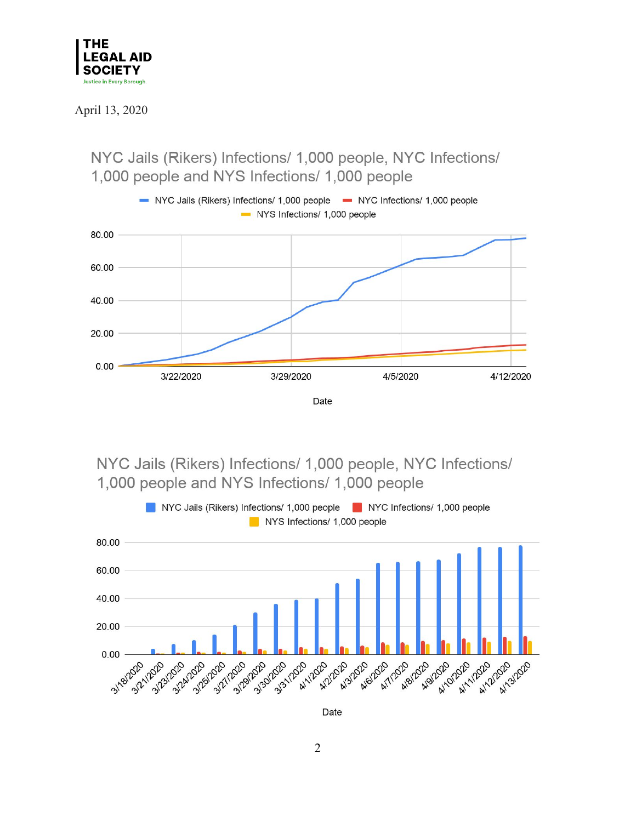

3/22/2020

NYC Jails (Rikers) Infections/ 1,000 people, NYC Infections/ 1,000 people and NYS Infections/ 1,000 people NYC Jails (Rikers) Infections/ 1,000 people • NYC Infections/ 1,000 people NYS Infections/ 1,000 people 80.00 60.00 40.00 20.00  $0.00$ 

Date

4/5/2020

4/12/2020

NYC Jails (Rikers) Infections/ 1,000 people, NYC Infections/ 1,000 people and NYS Infections/ 1,000 people

3/29/2020



Date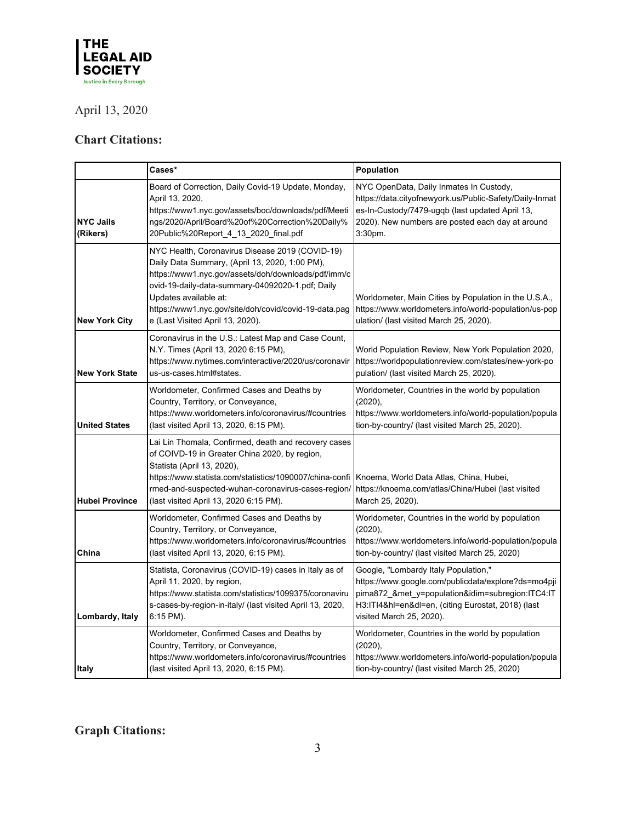

### **Chart Citations:**

|                                                                                                                                                                                              | Cases*                                                                                                                                                                                                                                                                                                                             | Population                                                                                                                                                                                                                        |  |
|----------------------------------------------------------------------------------------------------------------------------------------------------------------------------------------------|------------------------------------------------------------------------------------------------------------------------------------------------------------------------------------------------------------------------------------------------------------------------------------------------------------------------------------|-----------------------------------------------------------------------------------------------------------------------------------------------------------------------------------------------------------------------------------|--|
| <b>NYC Jails</b><br>(Rikers)                                                                                                                                                                 | Board of Correction, Daily Covid-19 Update, Monday,<br>April 13, 2020,<br>https://www1.nyc.gov/assets/boc/downloads/pdf/Meeti<br>ngs/2020/April/Board%20of%20Correction%20Daily%<br>20Public%20Report 4 13 2020 final.pdf                                                                                                          | NYC OpenData, Daily Inmates In Custody,<br>https://data.cityofnewyork.us/Public-Safety/Daily-Inmat<br>es-In-Custody/7479-ugqb (last updated April 13,<br>2020). New numbers are posted each day at around<br>$3:30pm$ .           |  |
| <b>New York City</b>                                                                                                                                                                         | NYC Health, Coronavirus Disease 2019 (COVID-19)<br>Daily Data Summary, (April 13, 2020, 1:00 PM),<br>https://www1.nyc.gov/assets/doh/downloads/pdf/imm/c<br>ovid-19-daily-data-summary-04092020-1.pdf; Daily<br>Updates available at:<br>https://www1.nyc.gov/site/doh/covid/covid-19-data.pag<br>e (Last Visited April 13, 2020). | Worldometer, Main Cities by Population in the U.S.A.,<br>https://www.worldometers.info/world-population/us-pop<br>ulation/ (last visited March 25, 2020).                                                                         |  |
| <b>New York State</b>                                                                                                                                                                        | Coronavirus in the U.S.: Latest Map and Case Count,<br>N.Y. Times (April 13, 2020 6:15 PM),<br>https://www.nytimes.com/interactive/2020/us/coronavir<br>us-us-cases.html#states.                                                                                                                                                   | World Population Review, New York Population 2020,<br>https://worldpopulationreview.com/states/new-york-po<br>pulation/ (last visited March 25, 2020).                                                                            |  |
| <b>United States</b>                                                                                                                                                                         | Worldometer, Confirmed Cases and Deaths by<br>Country, Territory, or Conveyance,<br>https://www.worldometers.info/coronavirus/#countries<br>(last visited April 13, 2020, 6:15 PM).                                                                                                                                                | Worldometer, Countries in the world by population<br>(2020),<br>https://www.worldometers.info/world-population/popula<br>tion-by-country/ (last visited March 25, 2020).                                                          |  |
| <b>Hubei Province</b>                                                                                                                                                                        | Lai Lin Thomala, Confirmed, death and recovery cases<br>of COIVD-19 in Greater China 2020, by region,<br>Statista (April 13, 2020),<br>https://www.statista.com/statistics/1090007/china-confi<br>rmed-and-suspected-wuhan-coronavirus-cases-region/<br>(last visited April 13, 2020 6:15 PM).                                     | Knoema, World Data Atlas, China, Hubei,<br>https://knoema.com/atlas/China/Hubei (last visited<br>March 25, 2020).                                                                                                                 |  |
| Worldometer, Confirmed Cases and Deaths by<br>Country, Territory, or Conveyance,<br>https://www.worldometers.info/coronavirus/#countries<br>China<br>(last visited April 13, 2020, 6:15 PM). |                                                                                                                                                                                                                                                                                                                                    | Worldometer, Countries in the world by population<br>(2020),<br>https://www.worldometers.info/world-population/popula<br>tion-by-country/ (last visited March 25, 2020)                                                           |  |
| Lombardy, Italy                                                                                                                                                                              | Statista, Coronavirus (COVID-19) cases in Italy as of<br>April 11, 2020, by region,<br>https://www.statista.com/statistics/1099375/coronaviru<br>s-cases-by-region-in-italy/ (last visited April 13, 2020,<br>6:15 PM).                                                                                                            | Google, "Lombardy Italy Population,"<br>https://www.google.com/publicdata/explore?ds=mo4pji<br>pima872_&met_y=population&idim=subregion:ITC4:IT<br>H3:ITI4&hl=en&dl=en, (citing Eurostat, 2018) (last<br>visited March 25, 2020). |  |
| <b>Italy</b>                                                                                                                                                                                 | Worldometer, Confirmed Cases and Deaths by<br>Country, Territory, or Conveyance,<br>https://www.worldometers.info/coronavirus/#countries<br>(last visited April 13, 2020, 6:15 PM).                                                                                                                                                | Worldometer, Countries in the world by population<br>$(2020)$ ,<br>https://www.worldometers.info/world-population/popula<br>tion-by-country/ (last visited March 25, 2020)                                                        |  |

## **Graph Citations:**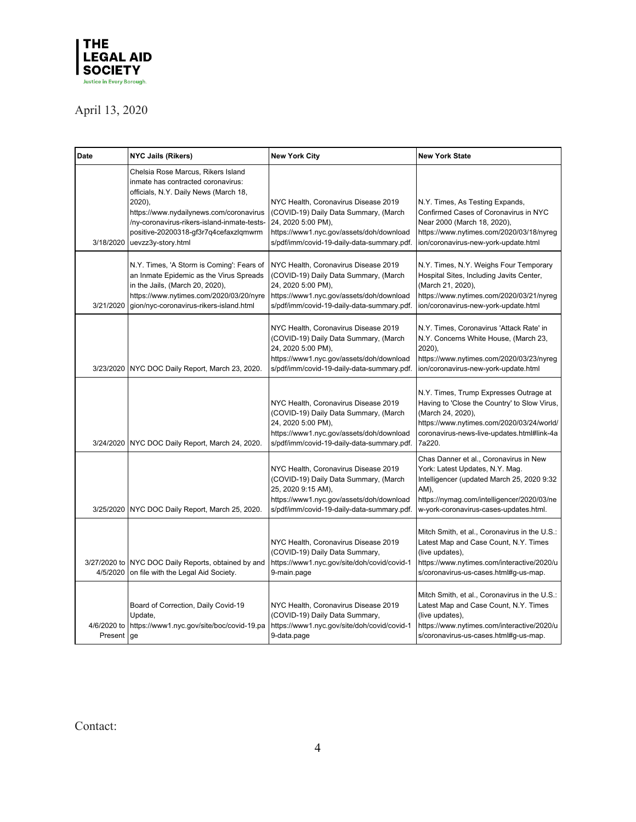

| Date                     | <b>NYC Jails (Rikers)</b>                                                                                                                                                                                                                                                            | <b>New York City</b>                                                                                                                                                                          | <b>New York State</b>                                                                                                                                                                                                   |
|--------------------------|--------------------------------------------------------------------------------------------------------------------------------------------------------------------------------------------------------------------------------------------------------------------------------------|-----------------------------------------------------------------------------------------------------------------------------------------------------------------------------------------------|-------------------------------------------------------------------------------------------------------------------------------------------------------------------------------------------------------------------------|
| 3/18/2020                | Chelsia Rose Marcus, Rikers Island<br>inmate has contracted coronavirus:<br>officials, N.Y. Daily News (March 18,<br>2020),<br>https://www.nydailynews.com/coronavirus<br>/ny-coronavirus-rikers-island-inmate-tests-<br>positive-20200318-gf3r7q4cefaxzlqmwrm<br>uevzz3y-story.html | NYC Health, Coronavirus Disease 2019<br>(COVID-19) Daily Data Summary, (March<br>24, 2020 5:00 PM),<br>https://www1.nyc.gov/assets/doh/download<br>s/pdf/imm/covid-19-daily-data-summary.pdf. | N.Y. Times, As Testing Expands,<br>Confirmed Cases of Coronavirus in NYC<br>Near 2000 (March 18, 2020),<br>https://www.nytimes.com/2020/03/18/nyreg<br>ion/coronavirus-new-york-update.html                             |
| 3/21/2020                | N.Y. Times, 'A Storm is Coming': Fears of<br>an Inmate Epidemic as the Virus Spreads<br>in the Jails, (March 20, 2020),<br>https://www.nytimes.com/2020/03/20/nyre<br>gion/nyc-coronavirus-rikers-island.html                                                                        | NYC Health, Coronavirus Disease 2019<br>(COVID-19) Daily Data Summary, (March<br>24, 2020 5:00 PM),<br>https://www1.nyc.gov/assets/doh/download<br>s/pdf/imm/covid-19-daily-data-summary.pdf. | N.Y. Times, N.Y. Weighs Four Temporary<br>Hospital Sites, Including Javits Center,<br>(March 21, 2020),<br>https://www.nytimes.com/2020/03/21/nyreg<br>ion/coronavirus-new-york-update.html                             |
| 3/23/2020                | NYC DOC Daily Report, March 23, 2020.                                                                                                                                                                                                                                                | NYC Health, Coronavirus Disease 2019<br>(COVID-19) Daily Data Summary, (March<br>24, 2020 5:00 PM),<br>https://www1.nyc.gov/assets/doh/download<br>s/pdf/imm/covid-19-daily-data-summary.pdf. | N.Y. Times, Coronavirus 'Attack Rate' in<br>N.Y. Concerns White House, (March 23,<br>2020),<br>https://www.nytimes.com/2020/03/23/nyreg<br>ion/coronavirus-new-york-update.html                                         |
| 3/24/2020                | NYC DOC Daily Report, March 24, 2020.                                                                                                                                                                                                                                                | NYC Health, Coronavirus Disease 2019<br>(COVID-19) Daily Data Summary, (March<br>24, 2020 5:00 PM),<br>https://www1.nyc.gov/assets/doh/download<br>s/pdf/imm/covid-19-daily-data-summary.pdf. | N.Y. Times, Trump Expresses Outrage at<br>Having to 'Close the Country' to Slow Virus,<br>(March 24, 2020),<br>https://www.nytimes.com/2020/03/24/world/<br>coronavirus-news-live-updates.html#link-4a<br>7a220.        |
| 3/25/2020                | NYC DOC Daily Report, March 25, 2020.                                                                                                                                                                                                                                                | NYC Health, Coronavirus Disease 2019<br>(COVID-19) Daily Data Summary, (March<br>25, 2020 9:15 AM),<br>https://www1.nyc.gov/assets/doh/download<br>s/pdf/imm/covid-19-daily-data-summary.pdf. | Chas Danner et al., Coronavirus in New<br>York: Latest Updates, N.Y. Mag.<br>Intelligencer (updated March 25, 2020 9:32<br>AM).<br>https://nymag.com/intelligencer/2020/03/ne<br>w-york-coronavirus-cases-updates.html. |
| 3/27/2020 to<br>4/5/2020 | NYC DOC Daily Reports, obtained by and<br>on file with the Legal Aid Society.                                                                                                                                                                                                        | NYC Health, Coronavirus Disease 2019<br>(COVID-19) Daily Data Summary,<br>https://www1.nyc.gov/site/doh/covid/covid-1<br>9-main.page                                                          | Mitch Smith, et al., Coronavirus in the U.S.:<br>Latest Map and Case Count, N.Y. Times<br>(live updates),<br>https://www.nytimes.com/interactive/2020/u<br>s/coronavirus-us-cases.html#g-us-map.                        |
| 4/6/2020 to<br>Present   | Board of Correction, Daily Covid-19<br>Update,<br>https://www1.nyc.gov/site/boc/covid-19.pa<br>ge                                                                                                                                                                                    | NYC Health, Coronavirus Disease 2019<br>(COVID-19) Daily Data Summary,<br>https://www1.nyc.gov/site/doh/covid/covid-1<br>9-data.page                                                          | Mitch Smith, et al., Coronavirus in the U.S.:<br>Latest Map and Case Count, N.Y. Times<br>(live updates),<br>https://www.nytimes.com/interactive/2020/u<br>s/coronavirus-us-cases.html#g-us-map.                        |

Contact: